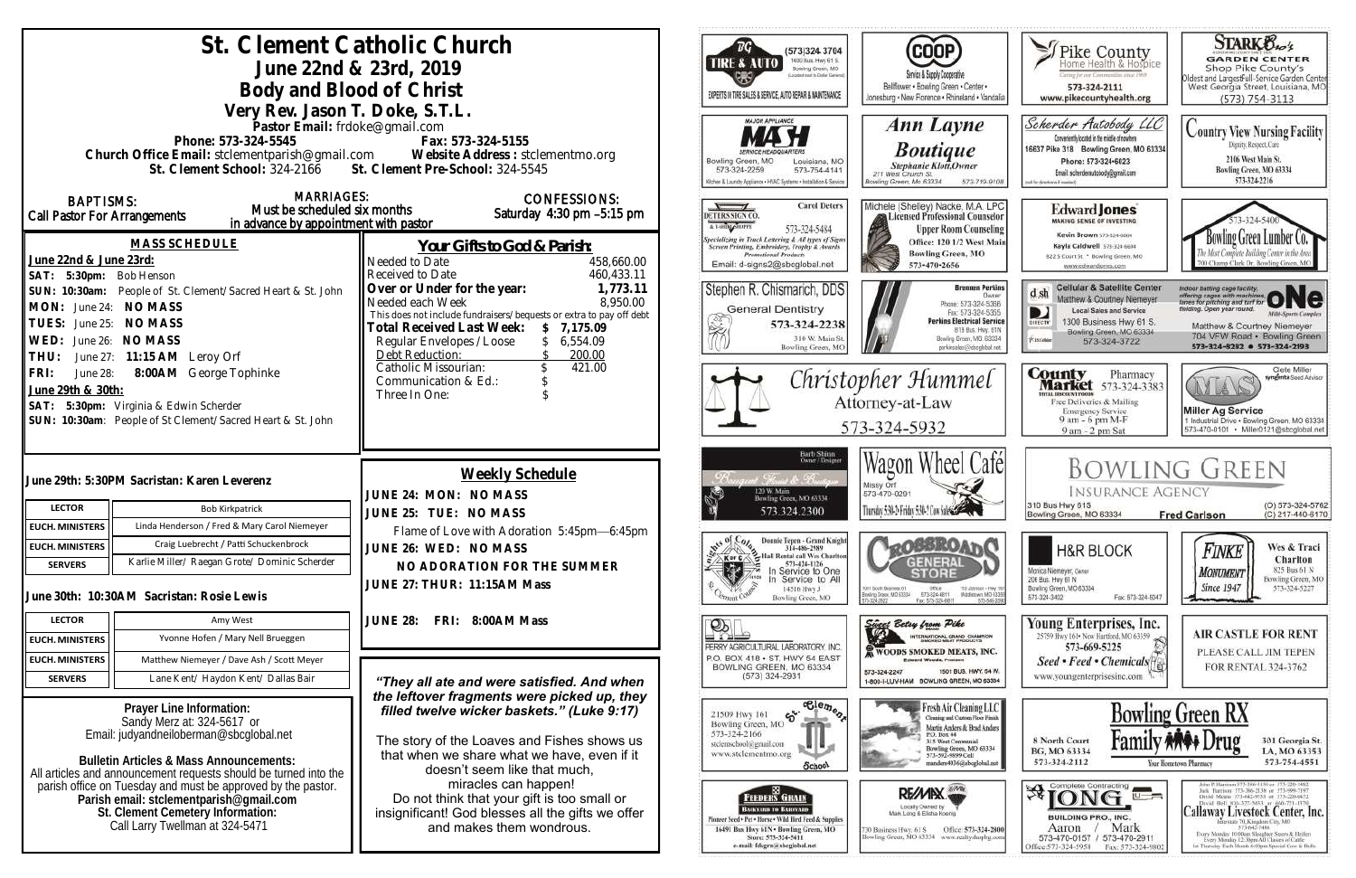| St. Clement Catholic Church<br>June 22nd & 23rd, 2019<br>Body and Blood of Christ<br>Very Rev. Jason T. Doke, S.T.L.<br>Pastor Email: frdoke@gmail.com<br>Phone: 573-324-5545<br>Fax: 573-324-5155<br>Church Office Email: stclementparish@gmail.com Website Address : stclementmo.org                                                                                                                         |                 |                                                                                                                                                                                                                                                                                                                                                                                 | (573)324 3704<br>1400 Bus. Hwy 61 S.<br><b>TIRE &amp; AUTO</b><br>Bowling Green, MO<br>sport next to Dallar General<br>EXPERTS IN TIRE SALES & SERVICE, AUTO REPAIR & MAINTENANCE<br><b>MAJOR APPLIANCE</b>                                                                                                                                        | <b>COOP</b><br>Service & Supply Cooperative<br>Bellflower . Bowling Green . Center .<br>Jonesburg . New Florence . Rhineland . Vandalia<br>Ann Layne<br><b>Boutique</b>                                                                                                                                                                                                                                                        | Thike County<br>aring for our Communities smar 1969<br>573-324-2111<br>www.pikecountyhealth.org<br>Scherder Autobody LLC<br>Conveniently located in the middle of nowhere<br>16637 Pike 318 Bowling Green, MO 63334                                                                                       | <b>STARK Bros</b><br><b>GARDEN CENTER</b><br>Shop Pike County's<br>Oldest and Largestfull-Service Garden Center<br>West Georgia Street, Louisiana, MO<br>$(573) 754 - 3113$<br><b>Country View Nursing Facility</b><br>Dignity, Respect, Care                                                                                                                                                                                                                                                                                          |
|----------------------------------------------------------------------------------------------------------------------------------------------------------------------------------------------------------------------------------------------------------------------------------------------------------------------------------------------------------------------------------------------------------------|-----------------|---------------------------------------------------------------------------------------------------------------------------------------------------------------------------------------------------------------------------------------------------------------------------------------------------------------------------------------------------------------------------------|----------------------------------------------------------------------------------------------------------------------------------------------------------------------------------------------------------------------------------------------------------------------------------------------------------------------------------------------------|--------------------------------------------------------------------------------------------------------------------------------------------------------------------------------------------------------------------------------------------------------------------------------------------------------------------------------------------------------------------------------------------------------------------------------|-----------------------------------------------------------------------------------------------------------------------------------------------------------------------------------------------------------------------------------------------------------------------------------------------------------|----------------------------------------------------------------------------------------------------------------------------------------------------------------------------------------------------------------------------------------------------------------------------------------------------------------------------------------------------------------------------------------------------------------------------------------------------------------------------------------------------------------------------------------|
| St. Clement School: 324-2166<br><b>MARRIAGES:</b><br><b>BAPTISMS:</b><br>Must be scheduled six months<br>Call Pastor For Arrangements<br>in advance by appointment with pastor                                                                                                                                                                                                                                 |                 | St. Clement Pre-School: 324-5545<br><b>CONFESSIONS:</b><br>Saturday 4:30 pm -5:15 pm                                                                                                                                                                                                                                                                                            | Bowling Green, MO<br>Louisiana, MO<br>573-324-2259<br>573-754-4141<br>Kilchen & Laundry Appliance . HVAC Systems . Installation & Service<br><b>Carol Deters</b><br>DETERS SIGN CO.<br>A T-SHING SHOPPE<br>573-324-5484                                                                                                                            | Stephanie Klott, Owner<br>211 West Church St.<br>Bowling Green, Mo 63334<br>573-719-9108<br>Michele (Shelley) Nacke, M.A. LPC<br>Licensed Professional Counselor<br><b>Upper Room Counseling</b><br>Office: 120 1/2 West Main                                                                                                                                                                                                  | Phone: 573+324+6023<br>Email: scherderautobody@gmail.com<br>call for directions if reasted,<br><b>Edward Jones</b><br><b>MAKING SENSE OF INVESTING</b><br>Kevin Brown 573-324-6604                                                                                                                        | 2106 West Main St.<br>Bowling Green, MO 63334<br>573-324-2216<br>Bowling Green Lumber Co.                                                                                                                                                                                                                                                                                                                                                                                                                                              |
| <b>MASS SCHEDULE</b><br>June 22nd & June 23rd:<br>SAT: 5:30pm: Bob Henson<br>People of St. Clement/Sacred Heart & St. John<br>SUN: 10:30am:<br>June 24: NO MASS<br>MON:<br>June 25: NO MASS<br>TUES:<br>June 26: NO MASS<br>WED:                                                                                                                                                                               |                 | Your Gifts to God & Parish:<br>Needed to Date<br>458,660.00<br>460,433.11<br>Received to Date<br>Over or Under for the year:<br>1,773.11<br>Needed each Week<br>8,950.00<br>This does not include fundraisers/bequests or extra to pay off debt<br><b>Total Received Last Week:</b><br>\$7,175.09<br>6,554.09<br>Regular Envelopes / Loose                                      | Specializing in Truck Lettering & All types of Signs<br>Screen Printing, Embroidery, Trophy & Awards<br><b>Promotional Products</b><br>Email: d-signs2@sbcglobal.net<br>Stephen R. Chismarich, DDS<br><b>General Dentistry</b><br>573-324-2238<br>310 W. Main St                                                                                   | <b>Bowling Green, MO</b><br>573-470-2656<br><b>Brennen Perkins</b><br>Dwner<br>Phone: 573-324-5366<br>Fax: 573-324-5355<br><b>Perkins Electrical Service</b><br>B19 Bus. Hwy. 61N<br>Bowling Green, MO. 63334                                                                                                                                                                                                                  | Kayla Caldwell 573-324-6604<br>822 S Court St * Bowling Green, MO<br>www.edwardjones.com<br><b>Cellular &amp; Satellite Center</b><br>d sh<br>Matthew & Courtney Niemeyer<br>Local Sales and Service<br>1300 Business Hwy 61 S.<br>DIRECTY<br>Bowling Green, MO 63334<br><b>Kiatolulu</b><br>573-324-3722 | 700 Champ Clark Dr. Bowling Green, M<br>Indoor batting cage facility.<br>offering cages with machines ONC<br>leiding. Open year round.<br><b>Milti-Sparts Complex</b><br>Matthew & Courtney Niemeyer<br>704 VFW Road · Bowling Green                                                                                                                                                                                                                                                                                                   |
| June 27: 11:15 AM Leroy Orf<br>THU:<br>8:00AM George Tophinke<br>FRI:<br>June 28:<br>June 29th & 30th:<br>SAT: 5:30pm: Virginia & Edwin Scherder<br>SUN: 10:30am: People of St Clement/Sacred Heart & St. John                                                                                                                                                                                                 |                 | 200.00<br>Debt Reduction:<br>421.00<br>Catholic Missourian:<br>Communication & Ed.:<br>Three In One:                                                                                                                                                                                                                                                                            | Bowling Green, MC                                                                                                                                                                                                                                                                                                                                  | perkinselec@shcolobal.net<br>Christopher Hummel<br>Attorney-at-Law<br>573-324-5932                                                                                                                                                                                                                                                                                                                                             | <b>County</b> Pharmacy<br><b>Market</b> 573-324-3383<br><b>ITAL BISCOUNT PRODS</b><br>Free Deliveries & Mailing<br><b>Emergency Service</b><br>9 am - 6 pm M-F<br>9 am - 2 pm Sat                                                                                                                         | 573-324-8282 0 573-324-2193<br>Clete Miller<br>syngenta Sood Advisor<br>AYLAY<br><b>Miller Ag Service</b><br>1 Industrial Drive . Bowling Green, MO 63334<br>573-470-0101 · Miller0121@sbcglobal.net                                                                                                                                                                                                                                                                                                                                   |
| June 29th: 5:30PM Sacristan: Karen Leverenz<br><b>LECTOR</b><br><b>Bob Kirkpatrick</b>                                                                                                                                                                                                                                                                                                                         |                 | Weekly Schedule<br>JUNE 24: MON: NO MASS<br>JUNE 25: TUE: NO MASS<br>Flame of Love with Adoration 5:45pm-6:45pm<br>JUNE 26: WED: NO MASS<br>NO ADORATION FOR THE SUMMER<br>JUNE 27: THUR: 11:15AM Mass                                                                                                                                                                          | Barb Shinn<br>Owner/Designer<br>t. Floriat de Pourton<br>120 W. Main<br>Bowling Green, MO 63334<br>573.324.2300                                                                                                                                                                                                                                    | Wagon Wheel Café<br>Missy Orf<br>573-470-0291<br>Thusday 5:30-5 Friday 5:30-1 Con Subs 3                                                                                                                                                                                                                                                                                                                                       | <b>INSURANCE AGENCY</b><br>310 Bus Hwy 61S<br>Bowling Green, MO 63334                                                                                                                                                                                                                                     | <b>BOWLING GREEN</b><br>(O) 573-324-5762<br>(C) 217-440-6170<br><b>Fred Carlson</b>                                                                                                                                                                                                                                                                                                                                                                                                                                                    |
| Linda Henderson / Fred & Mary Carol Niemeyer<br><b>EUCH. MINISTERS</b><br>Craig Luebrecht / Patti Schuckenbrock<br><b>EUCH. MINISTERS</b><br>Karlie Miller/ Raegan Grote/ Dominic Scherder<br><b>SERVERS</b><br>June 30th: 10:30AM Sacristan: Rosie Lewis                                                                                                                                                      |                 |                                                                                                                                                                                                                                                                                                                                                                                 | Donnie Tepen - Grand Knight<br>314-486-2989<br>2. Hall Rental call Wes Charlton<br>Kor C<br>573-424-1126<br>体<br>In Service to One<br>Service to All<br>14516 Hwy J<br>Bowling Green, MO                                                                                                                                                           | <b>QOBBROAT</b><br>GENERAL<br>1001 South Business 61<br>Office<br>110 Johnson - Hwy 9<br>573-324-6811<br>Middietown, MO 6339<br>Bowlinig Grason, M.D. 63334<br>Fax: 573-324-6811<br>573-549-20                                                                                                                                                                                                                                 | <b>H&amp;R BLOCK</b><br>Monica Niemeyer, Owner<br>206 Bus. Hwy 61 N<br>Bowling Green, MO 63334<br>Fax: 573-324-5047<br>573-324-3402                                                                                                                                                                       | Wes & Traci<br>Finke<br>Charlton<br>825 Bus 61 N<br><b>MONUMENT</b><br>Bowling Green, MO<br><b>Since 1947</b><br>573-324-5227                                                                                                                                                                                                                                                                                                                                                                                                          |
| <b>LECTOR</b><br>Amy West<br>Yvonne Hofen / Mary Nell Brueggen<br><b>EUCH. MINISTERS</b>                                                                                                                                                                                                                                                                                                                       | <b>JUNE 28:</b> | FRI: 8:00AM Mass                                                                                                                                                                                                                                                                                                                                                                | $\mathbb{P}_{\mathbb{R}}$<br>PERRY AGRICULTURAL LABORATORY, INC.                                                                                                                                                                                                                                                                                   | Sincer Betsy from Pike<br>INTERNATIONAL GRAND CHAMPION<br><b>WOODS SMOKED MEATS, INC.</b>                                                                                                                                                                                                                                                                                                                                      | Young Enterprises, Inc.<br>25759 Hwy 161 . New Hartford, MO 63359<br>573-669-5225                                                                                                                                                                                                                         | <b>AIR CASTLE FOR RENT</b><br>PLEASE CALL JIM TEPEN                                                                                                                                                                                                                                                                                                                                                                                                                                                                                    |
| <b>EUCH. MINISTERS</b><br>Matthew Niemeyer / Dave Ash / Scott Meyer<br><b>SERVERS</b><br>Lane Kent/ Haydon Kent/ Dallas Bair                                                                                                                                                                                                                                                                                   |                 | "They all ate and were satisfied. And when                                                                                                                                                                                                                                                                                                                                      | P.O. BOX 418 . ST. HWY 54 EAST<br>BOWLING GREEN, MO 63334<br>$(573)$ 324-2931                                                                                                                                                                                                                                                                      | <b>Edward Woods, President</b><br>1501 BUS, HWY, 54 W.<br>573-324-2247<br>1-800-I-LUV-HAM BOWLING GREEN, MO 63334                                                                                                                                                                                                                                                                                                              | Seed • Feed • Chemicals <sup>[4]</sup><br>www.youngenterprisesinc.com                                                                                                                                                                                                                                     | FOR RENTAL 324-3762                                                                                                                                                                                                                                                                                                                                                                                                                                                                                                                    |
| Prayer Line Information:<br>Sandy Merz at: 324-5617 or<br>Email: judyandneiloberman@sbcglobal.net<br><b>Bulletin Articles &amp; Mass Announcements:</b><br>All articles and announcement requests should be turned into the<br>parish office on Tuesday and must be approved by the pastor.<br>Parish email: stclementparish@gmail.com<br>St. Clement Cemetery Information:<br>Call Larry Twellman at 324-5471 |                 | the leftover fragments were picked up, they<br>filled twelve wicker baskets." (Luke 9:17)<br>The story of the Loaves and Fishes shows us<br>that when we share what we have, even if it<br>doesn't seem like that much,<br>miracles can happen!<br>Do not think that your gift is too small or<br>insignificant! God blesses all the gifts we offer<br>and makes them wondrous. | $\mathfrak{S}$<br>21509 Hwy 161<br>Bowling Green, MO<br>573-324-2166<br>stelemschool@gmail.com<br>www.stclementmo.org<br>School<br>. BB<br><b>FEEDERS GRAIN</b><br>ВАСКУЛЯВ ТО ВЛЕНУАКО-<br>Finneer Seed + Pet . Horse . Wild Hird Feed & Supplies<br>16491 Bus Hwy 61N . Bowling Green, MO<br>Store: 573-324-5411<br>e-mail: fdsgrn@sbcglobal.net | $\overline{\text{e}_{\text{e}_{\text{m}}}}$<br>Fresh Air Cleaning LLC<br>Cleaning and Castom Floor Finish<br>Martin Anders & Brad Anders<br>P.O. Box 44<br><b>315 West Centennial</b><br>Bowling Green, MO 63334<br>573-592-9899 Cell<br>nanders4036@sbcglobal.net<br>RE/MIX<br>Locally Owned by<br>Mark Lang & Elisha Koenig<br>Office: 573-324-2800<br>30 Business Hwy. 61 S<br>Bowling Green, MO 63334 www.realtyshopbg.com | 8 North Court<br>BG, MO 63334<br>573-324-2112<br>$\mathfrak{B}$ [ONG $\blacksquare$<br>$u -$<br><b>BUILDING PRO., INC.</b><br>Mark<br>Aaron<br>573-470-0157 / 573-470-2911<br>Office:573-324-5958<br>Fax: 573-324-980.                                                                                    | <b>Bowling Green RX</b><br>301 Georgia St.<br>LA, MO 63353<br>573-754-4551<br>Your Hometown Pharmacy<br>John P. Harrison 573-386-5150 or 573-220-1482<br>Jack Hurrison 573-386-2138 or 573-999-7197<br>David Means 573-642-9553 st 573-220-0472<br>David Bell 816-527-5633 or 660-721-1370<br>Callaway Livestock Center, Inc.<br>terstate 70, Kingdoni City, MO<br>573-642-7486<br>Every Monitay 10:00am Sloughter Steers & Heilers<br>Every Memby 12:30pm All Classes of Cattle<br>14 Thursday Each Month 6:00pm Special Cow & Bulls. |